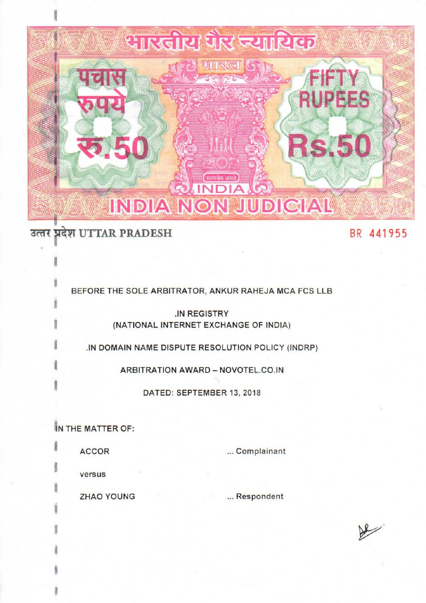

# उत्तर प्रदेश UTTAR PRADESH

## BR 441955

BEFORE THE SOLE ARBITRATOR, ANKUR RAHEJA MCA FCS LLB **IN REGISTRY** 

(NATIONAL INTERNET EXCHANGE OF INDIA)

.IN DOMAIN NAME DISPUTE RESOLUTION POLICY (INDRP)

**ARBITRATION AWARD - NOVOTEL.CO.IN** 

DATED: SEPTEMBER 13, 2018

IN THE MATTER OF:

**ACCOR** 

... Complainant

versus

**ZHAO YOUNG** 

. Respondent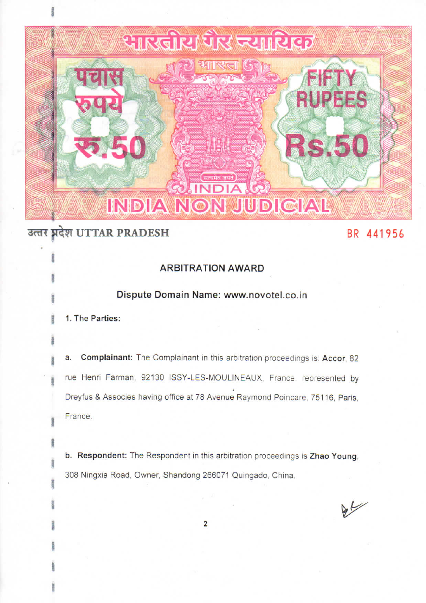

## उत्तर प्रदेश UTTAR PRADESH

## BR 441956

## **ARBITRATION AWARD**

### Dispute Domain Name: www.novotel.co.in

1. The Parties:

a. Complainant: The Complainant in this arbitration proceedings is: Accor, 82 rue Henri Farman, 92130 ISSY-LES-MOULINEAUX, France, represented by Dreyfus & Associes having office at 78 Avenue Raymond Poincare, 75116, Paris, France.

b. Respondent: The Respondent in this arbitration proceedings is Zhao Young. 308 Ningxia Road, Owner, Shandong 266071 Quingado, China.

 $\frac{1}{2}$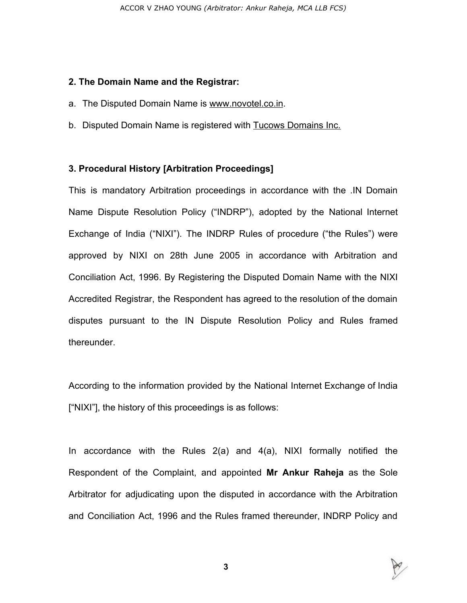#### **2. The Domain Name and the Registrar:**

- a. The Disputed Domain Name is www.novotel.co.in.
- b. Disputed Domain Name is registered with Tucows Domains Inc.

### **3. Procedural History [Arbitration Proceedings]**

This is mandatory Arbitration proceedings in accordance with the .IN Domain Name Dispute Resolution Policy ("INDRP"), adopted by the National Internet Exchange of India ("NIXI"). The INDRP Rules of procedure ("the Rules") were approved by NIXI on 28th June 2005 in accordance with Arbitration and Conciliation Act, 1996. By Registering the Disputed Domain Name with the NIXI Accredited Registrar, the Respondent has agreed to the resolution of the domain disputes pursuant to the IN Dispute Resolution Policy and Rules framed thereunder.

According to the information provided by the National Internet Exchange of India ["NIXI"], the history of this proceedings is as follows:

In accordance with the Rules 2(a) and 4(a), NIXI formally notified the Respondent of the Complaint, and appointed **Mr Ankur Raheja** as the Sole Arbitrator for adjudicating upon the disputed in accordance with the Arbitration and Conciliation Act, 1996 and the Rules framed thereunder, INDRP Policy and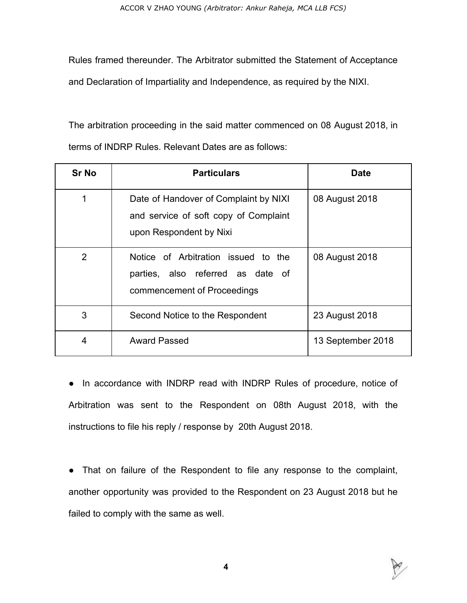Rules framed thereunder. The Arbitrator submitted the Statement of Acceptance and Declaration of Impartiality and Independence, as required by the NIXI.

The arbitration proceeding in the said matter commenced on 08 August 2018, in terms of INDRP Rules. Relevant Dates are as follows:

| <b>Sr No</b>   | <b>Particulars</b>                                                                                        | Date              |
|----------------|-----------------------------------------------------------------------------------------------------------|-------------------|
| 1              | Date of Handover of Complaint by NIXI<br>and service of soft copy of Complaint<br>upon Respondent by Nixi | 08 August 2018    |
| $\overline{2}$ | Notice of Arbitration issued to the<br>parties, also referred as date of<br>commencement of Proceedings   | 08 August 2018    |
| 3              | Second Notice to the Respondent                                                                           | 23 August 2018    |
| 4              | <b>Award Passed</b>                                                                                       | 13 September 2018 |

• In accordance with INDRP read with INDRP Rules of procedure, notice of Arbitration was sent to the Respondent on 08th August 2018, with the instructions to file his reply / response by 20th August 2018.

• That on failure of the Respondent to file any response to the complaint, another opportunity was provided to the Respondent on 23 August 2018 but he failed to comply with the same as well.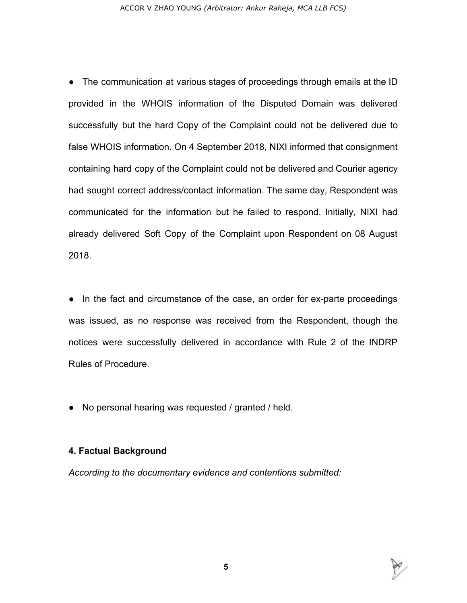● The communication at various stages of proceedings through emails at the ID provided in the WHOIS information of the Disputed Domain was delivered successfully but the hard Copy of the Complaint could not be delivered due to false WHOIS information. On 4 September 2018, NIXI informed that consignment containing hard copy of the Complaint could not be delivered and Courier agency had sought correct address/contact information. The same day, Respondent was communicated for the information but he failed to respond. Initially, NIXI had already delivered Soft Copy of the Complaint upon Respondent on 08 August 2018.

• In the fact and circumstance of the case, an order for ex-parte proceedings was issued, as no response was received from the Respondent, though the notices were successfully delivered in accordance with Rule 2 of the INDRP Rules of Procedure.

● No personal hearing was requested / granted / held.

### **4. Factual Background**

*According to the documentary evidence and contentions submitted:*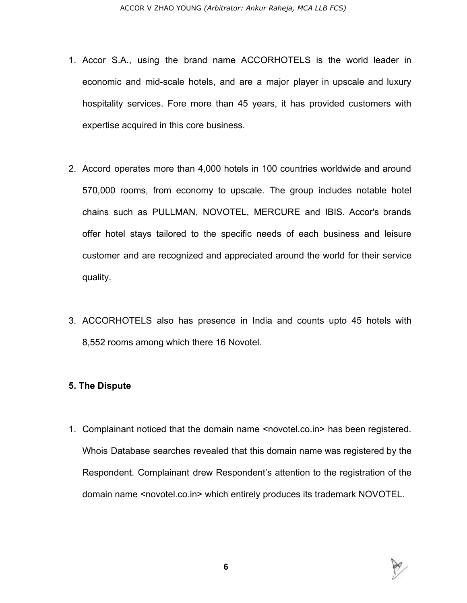- 1. Accor S.A., using the brand name ACCORHOTELS is the world leader in economic and mid-scale hotels, and are a major player in upscale and luxury hospitality services. Fore more than 45 years, it has provided customers with expertise acquired in this core business.
- 2. Accord operates more than 4,000 hotels in 100 countries worldwide and around 570,000 rooms, from economy to upscale. The group includes notable hotel chains such as PULLMAN, NOVOTEL, MERCURE and IBIS. Accor's brands offer hotel stays tailored to the specific needs of each business and leisure customer and are recognized and appreciated around the world for their service quality.
- 3. ACCORHOTELS also has presence in India and counts upto 45 hotels with 8,552 rooms among which there 16 Novotel.

#### **5. The Dispute**

1. Complainant noticed that the domain name <novotel.co.in> has been registered. Whois Database searches revealed that this domain name was registered by the Respondent. Complainant drew Respondent's attention to the registration of the domain name <novotel.co.in> which entirely produces its trademark NOVOTEL.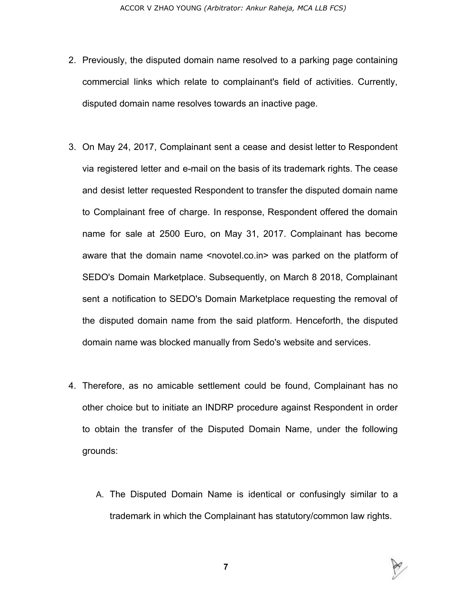- 2. Previously, the disputed domain name resolved to a parking page containing commercial links which relate to complainant's field of activities. Currently, disputed domain name resolves towards an inactive page.
- 3. On May 24, 2017, Complainant sent a cease and desist letter to Respondent via registered letter and e-mail on the basis of its trademark rights. The cease and desist letter requested Respondent to transfer the disputed domain name to Complainant free of charge. In response, Respondent offered the domain name for sale at 2500 Euro, on May 31, 2017. Complainant has become aware that the domain name <novotel.co.in> was parked on the platform of SEDO's Domain Marketplace. Subsequently, on March 8 2018, Complainant sent a notification to SEDO's Domain Marketplace requesting the removal of the disputed domain name from the said platform. Henceforth, the disputed domain name was blocked manually from Sedo's website and services.
- 4. Therefore, as no amicable settlement could be found, Complainant has no other choice but to initiate an INDRP procedure against Respondent in order to obtain the transfer of the Disputed Domain Name, under the following grounds:
	- A. The Disputed Domain Name is identical or confusingly similar to a trademark in which the Complainant has statutory/common law rights.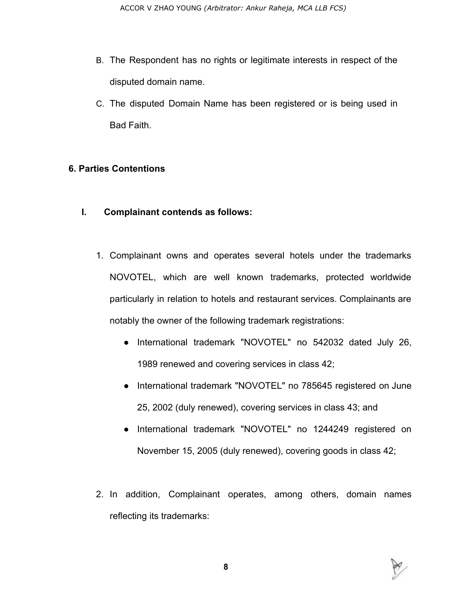- B. The Respondent has no rights or legitimate interests in respect of the disputed domain name.
- C. The disputed Domain Name has been registered or is being used in Bad Faith.

### **6. Parties Contentions**

- **I. Complainant contends as follows:**
	- 1. Complainant owns and operates several hotels under the trademarks NOVOTEL, which are well known trademarks, protected worldwide particularly in relation to hotels and restaurant services. Complainants are notably the owner of the following trademark registrations:
		- International trademark "NOVOTEL" no 542032 dated July 26, 1989 renewed and covering services in class 42;
		- International trademark "NOVOTEL" no 785645 registered on June 25, 2002 (duly renewed), covering services in class 43; and
		- International trademark "NOVOTEL" no 1244249 registered on November 15, 2005 (duly renewed), covering goods in class 42;
	- 2. In addition, Complainant operates, among others, domain names reflecting its trademarks:

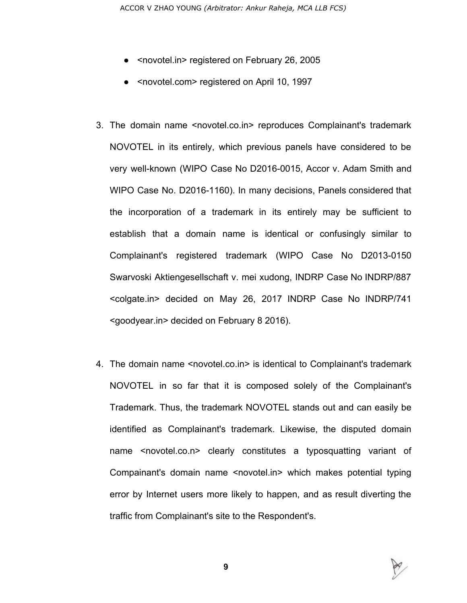- <novotel.in> registered on February 26, 2005
- <novotel.com> registered on April 10, 1997
- 3. The domain name <novotel.co.in> reproduces Complainant's trademark NOVOTEL in its entirely, which previous panels have considered to be very well-known (WIPO Case No D2016-0015, Accor v. Adam Smith and WIPO Case No. D2016-1160). In many decisions, Panels considered that the incorporation of a trademark in its entirely may be sufficient to establish that a domain name is identical or confusingly similar to Complainant's registered trademark (WIPO Case No D2013-0150 Swarvoski Aktiengesellschaft v. mei xudong, INDRP Case No INDRP/887 <colgate.in> decided on May 26, 2017 INDRP Case No INDRP/741 <goodyear.in> decided on February 8 2016).
- 4. The domain name <novotel.co.in> is identical to Complainant's trademark NOVOTEL in so far that it is composed solely of the Complainant's Trademark. Thus, the trademark NOVOTEL stands out and can easily be identified as Complainant's trademark. Likewise, the disputed domain name <novotel.co.n> clearly constitutes a typosquatting variant of Compainant's domain name <novotel.in> which makes potential typing error by Internet users more likely to happen, and as result diverting the traffic from Complainant's site to the Respondent's.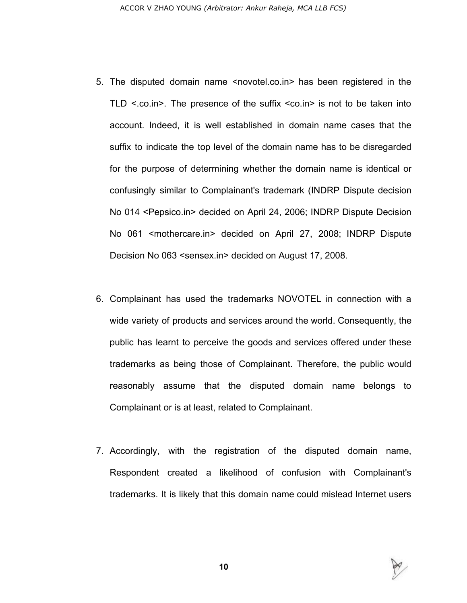- 5. The disputed domain name <novotel.co.in> has been registered in the TLD  $\le$  co.in >. The presence of the suffix  $\le$  co.in > is not to be taken into account. Indeed, it is well established in domain name cases that the suffix to indicate the top level of the domain name has to be disregarded for the purpose of determining whether the domain name is identical or confusingly similar to Complainant's trademark (INDRP Dispute decision No 014 <Pepsico.in> decided on April 24, 2006; INDRP Dispute Decision No 061 <mothercare.in> decided on April 27, 2008; INDRP Dispute Decision No 063 <sensex.in> decided on August 17, 2008.
- 6. Complainant has used the trademarks NOVOTEL in connection with a wide variety of products and services around the world. Consequently, the public has learnt to perceive the goods and services offered under these trademarks as being those of Complainant. Therefore, the public would reasonably assume that the disputed domain name belongs to Complainant or is at least, related to Complainant.
- 7. Accordingly, with the registration of the disputed domain name, Respondent created a likelihood of confusion with Complainant's trademarks. It is likely that this domain name could mislead Internet users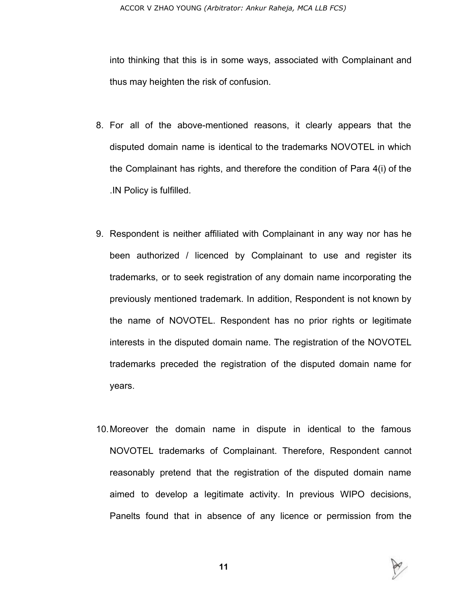into thinking that this is in some ways, associated with Complainant and thus may heighten the risk of confusion.

- 8. For all of the above-mentioned reasons, it clearly appears that the disputed domain name is identical to the trademarks NOVOTEL in which the Complainant has rights, and therefore the condition of Para 4(i) of the .IN Policy is fulfilled.
- 9. Respondent is neither affiliated with Complainant in any way nor has he been authorized / licenced by Complainant to use and register its trademarks, or to seek registration of any domain name incorporating the previously mentioned trademark. In addition, Respondent is not known by the name of NOVOTEL. Respondent has no prior rights or legitimate interests in the disputed domain name. The registration of the NOVOTEL trademarks preceded the registration of the disputed domain name for years.
- 10.Moreover the domain name in dispute in identical to the famous NOVOTEL trademarks of Complainant. Therefore, Respondent cannot reasonably pretend that the registration of the disputed domain name aimed to develop a legitimate activity. In previous WIPO decisions, Panelts found that in absence of any licence or permission from the

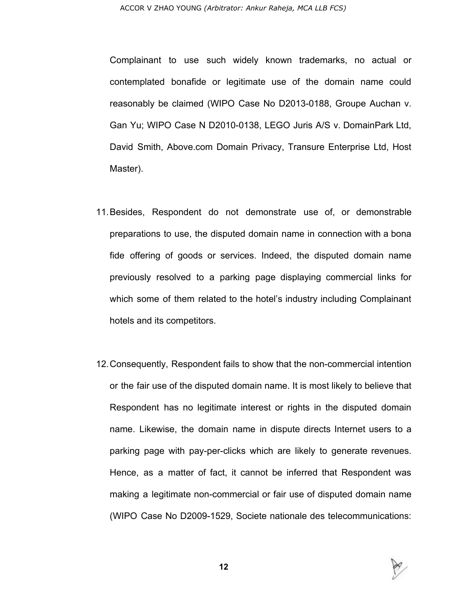Complainant to use such widely known trademarks, no actual or contemplated bonafide or legitimate use of the domain name could reasonably be claimed (WIPO Case No D2013-0188, Groupe Auchan v. Gan Yu; WIPO Case N D2010-0138, LEGO Juris A/S v. DomainPark Ltd, David Smith, Above.com Domain Privacy, Transure Enterprise Ltd, Host Master).

- 11.Besides, Respondent do not demonstrate use of, or demonstrable preparations to use, the disputed domain name in connection with a bona fide offering of goods or services. Indeed, the disputed domain name previously resolved to a parking page displaying commercial links for which some of them related to the hotel's industry including Complainant hotels and its competitors.
- 12.Consequently, Respondent fails to show that the non-commercial intention or the fair use of the disputed domain name. It is most likely to believe that Respondent has no legitimate interest or rights in the disputed domain name. Likewise, the domain name in dispute directs Internet users to a parking page with pay-per-clicks which are likely to generate revenues. Hence, as a matter of fact, it cannot be inferred that Respondent was making a legitimate non-commercial or fair use of disputed domain name (WIPO Case No D2009-1529, Societe nationale des telecommunications:

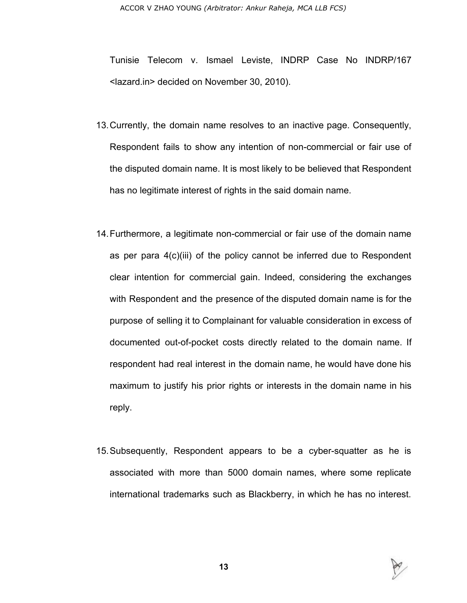Tunisie Telecom v. Ismael Leviste, INDRP Case No INDRP/167 <lazard.in> decided on November 30, 2010).

- 13.Currently, the domain name resolves to an inactive page. Consequently, Respondent fails to show any intention of non-commercial or fair use of the disputed domain name. It is most likely to be believed that Respondent has no legitimate interest of rights in the said domain name.
- 14.Furthermore, a legitimate non-commercial or fair use of the domain name as per para 4(c)(iii) of the policy cannot be inferred due to Respondent clear intention for commercial gain. Indeed, considering the exchanges with Respondent and the presence of the disputed domain name is for the purpose of selling it to Complainant for valuable consideration in excess of documented out-of-pocket costs directly related to the domain name. If respondent had real interest in the domain name, he would have done his maximum to justify his prior rights or interests in the domain name in his reply.
- 15.Subsequently, Respondent appears to be a cyber-squatter as he is associated with more than 5000 domain names, where some replicate international trademarks such as Blackberry, in which he has no interest.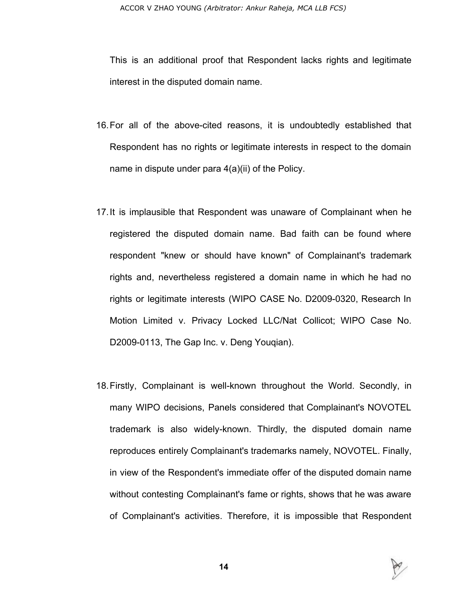This is an additional proof that Respondent lacks rights and legitimate interest in the disputed domain name.

- 16.For all of the above-cited reasons, it is undoubtedly established that Respondent has no rights or legitimate interests in respect to the domain name in dispute under para 4(a)(ii) of the Policy.
- 17.It is implausible that Respondent was unaware of Complainant when he registered the disputed domain name. Bad faith can be found where respondent "knew or should have known" of Complainant's trademark rights and, nevertheless registered a domain name in which he had no rights or legitimate interests (WIPO CASE No. D2009-0320, Research In Motion Limited v. Privacy Locked LLC/Nat Collicot; WIPO Case No. D2009-0113, The Gap Inc. v. Deng Youqian).
- 18.Firstly, Complainant is well-known throughout the World. Secondly, in many WIPO decisions, Panels considered that Complainant's NOVOTEL trademark is also widely-known. Thirdly, the disputed domain name reproduces entirely Complainant's trademarks namely, NOVOTEL. Finally, in view of the Respondent's immediate offer of the disputed domain name without contesting Complainant's fame or rights, shows that he was aware of Complainant's activities. Therefore, it is impossible that Respondent

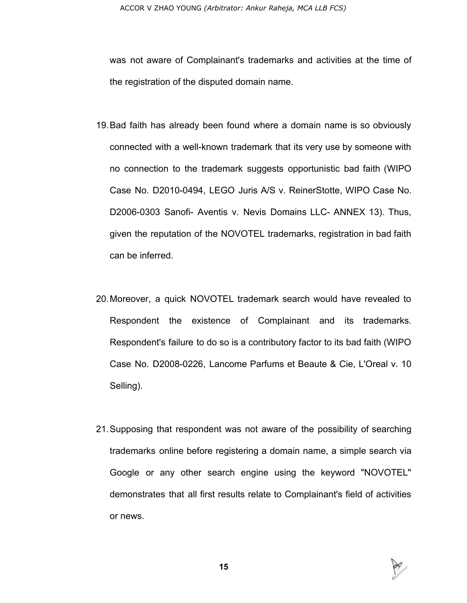was not aware of Complainant's trademarks and activities at the time of the registration of the disputed domain name.

- 19.Bad faith has already been found where a domain name is so obviously connected with a well-known trademark that its very use by someone with no connection to the trademark suggests opportunistic bad faith (WIPO Case No. D2010-0494, LEGO Juris A/S v. ReinerStotte, WIPO Case No. D2006-0303 Sanofi- Aventis v. Nevis Domains LLC- ANNEX 13). Thus, given the reputation of the NOVOTEL trademarks, registration in bad faith can be inferred.
- 20.Moreover, a quick NOVOTEL trademark search would have revealed to Respondent the existence of Complainant and its trademarks. Respondent's failure to do so is a contributory factor to its bad faith (WIPO Case No. D2008-0226, Lancome Parfums et Beaute & Cie, L'Oreal v. 10 Selling).
- 21.Supposing that respondent was not aware of the possibility of searching trademarks online before registering a domain name, a simple search via Google or any other search engine using the keyword "NOVOTEL" demonstrates that all first results relate to Complainant's field of activities or news.

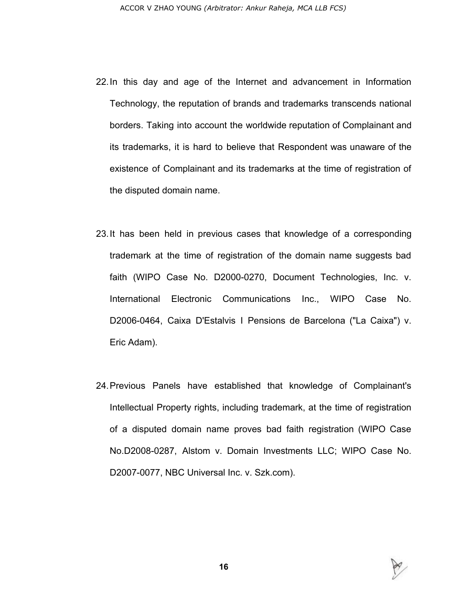- 22.In this day and age of the Internet and advancement in Information Technology, the reputation of brands and trademarks transcends national borders. Taking into account the worldwide reputation of Complainant and its trademarks, it is hard to believe that Respondent was unaware of the existence of Complainant and its trademarks at the time of registration of the disputed domain name.
- 23.It has been held in previous cases that knowledge of a corresponding trademark at the time of registration of the domain name suggests bad faith (WIPO Case No. D2000-0270, Document Technologies, Inc. v. International Electronic Communications Inc., WIPO Case No. D2006-0464, Caixa D'Estalvis I Pensions de Barcelona ("La Caixa") v. Eric Adam).
- 24.Previous Panels have established that knowledge of Complainant's Intellectual Property rights, including trademark, at the time of registration of a disputed domain name proves bad faith registration (WIPO Case No.D2008-0287, Alstom v. Domain Investments LLC; WIPO Case No. D2007-0077, NBC Universal Inc. v. Szk.com).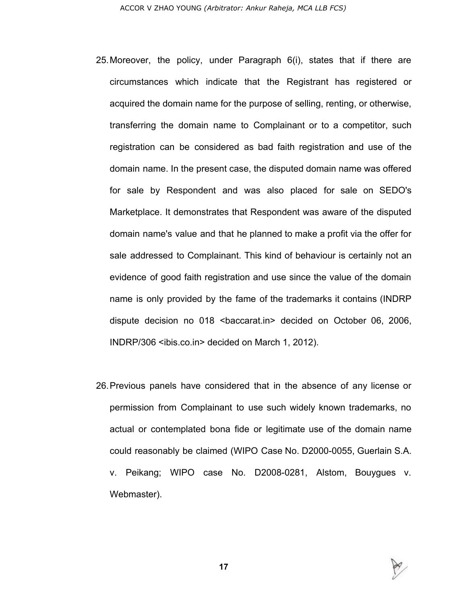- 25.Moreover, the policy, under Paragraph 6(i), states that if there are circumstances which indicate that the Registrant has registered or acquired the domain name for the purpose of selling, renting, or otherwise, transferring the domain name to Complainant or to a competitor, such registration can be considered as bad faith registration and use of the domain name. In the present case, the disputed domain name was offered for sale by Respondent and was also placed for sale on SEDO's Marketplace. It demonstrates that Respondent was aware of the disputed domain name's value and that he planned to make a profit via the offer for sale addressed to Complainant. This kind of behaviour is certainly not an evidence of good faith registration and use since the value of the domain name is only provided by the fame of the trademarks it contains (INDRP dispute decision no 018 <br />baccarat.in> decided on October 06, 2006, INDRP/306 <ibis.co.in> decided on March 1, 2012).
- 26.Previous panels have considered that in the absence of any license or permission from Complainant to use such widely known trademarks, no actual or contemplated bona fide or legitimate use of the domain name could reasonably be claimed (WIPO Case No. D2000-0055, Guerlain S.A. v. Peikang; WIPO case No. D2008-0281, Alstom, Bouygues v. Webmaster).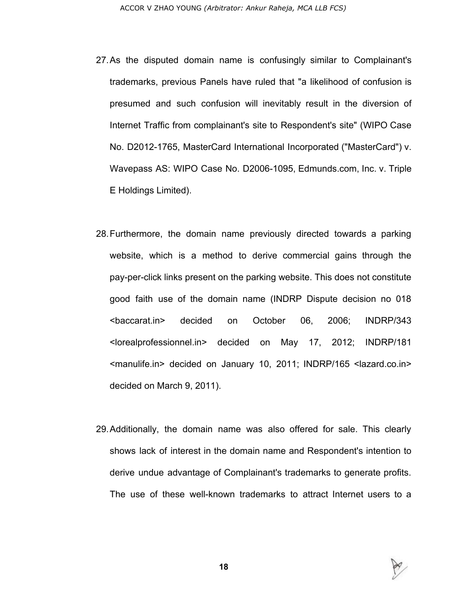- 27.As the disputed domain name is confusingly similar to Complainant's trademarks, previous Panels have ruled that "a likelihood of confusion is presumed and such confusion will inevitably result in the diversion of Internet Traffic from complainant's site to Respondent's site" (WIPO Case No. D2012-1765, MasterCard International Incorporated ("MasterCard") v. Wavepass AS: WIPO Case No. D2006-1095, Edmunds.com, Inc. v. Triple E Holdings Limited).
- 28.Furthermore, the domain name previously directed towards a parking website, which is a method to derive commercial gains through the pay-per-click links present on the parking website. This does not constitute good faith use of the domain name (INDRP Dispute decision no 018 <baccarat.in> decided on October 06, 2006; INDRP/343 <lorealprofessionnel.in> decided on May 17, 2012; INDRP/181 <manulife.in> decided on January 10, 2011; INDRP/165 <lazard.co.in> decided on March 9, 2011).
- 29.Additionally, the domain name was also offered for sale. This clearly shows lack of interest in the domain name and Respondent's intention to derive undue advantage of Complainant's trademarks to generate profits. The use of these well-known trademarks to attract Internet users to a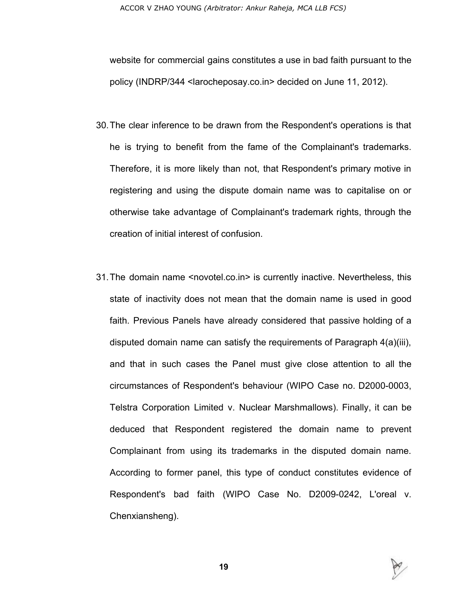website for commercial gains constitutes a use in bad faith pursuant to the policy (INDRP/344 <larocheposay.co.in> decided on June 11, 2012).

- 30.The clear inference to be drawn from the Respondent's operations is that he is trying to benefit from the fame of the Complainant's trademarks. Therefore, it is more likely than not, that Respondent's primary motive in registering and using the dispute domain name was to capitalise on or otherwise take advantage of Complainant's trademark rights, through the creation of initial interest of confusion.
- 31.The domain name <novotel.co.in> is currently inactive. Nevertheless, this state of inactivity does not mean that the domain name is used in good faith. Previous Panels have already considered that passive holding of a disputed domain name can satisfy the requirements of Paragraph 4(a)(iii), and that in such cases the Panel must give close attention to all the circumstances of Respondent's behaviour (WIPO Case no. D2000-0003, Telstra Corporation Limited v. Nuclear Marshmallows). Finally, it can be deduced that Respondent registered the domain name to prevent Complainant from using its trademarks in the disputed domain name. According to former panel, this type of conduct constitutes evidence of Respondent's bad faith (WIPO Case No. D2009-0242, L'oreal v. Chenxiansheng).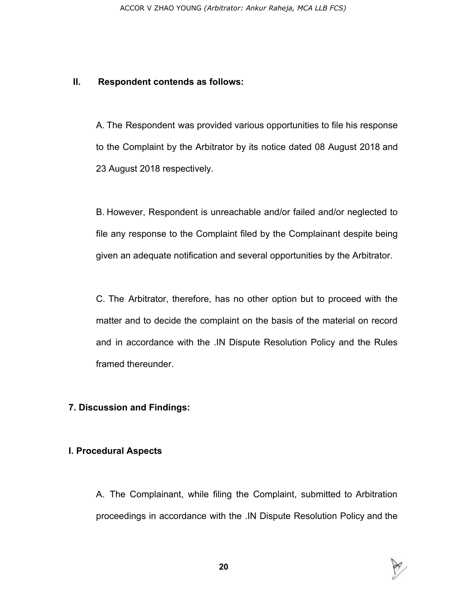#### **II. Respondent contends as follows:**

A. The Respondent was provided various opportunities to file his response to the Complaint by the Arbitrator by its notice dated 08 August 2018 and 23 August 2018 respectively.

B. However, Respondent is unreachable and/or failed and/or neglected to file any response to the Complaint filed by the Complainant despite being given an adequate notification and several opportunities by the Arbitrator.

C. The Arbitrator, therefore, has no other option but to proceed with the matter and to decide the complaint on the basis of the material on record and in accordance with the .IN Dispute Resolution Policy and the Rules framed thereunder.

### **7. Discussion and Findings:**

### **I. Procedural Aspects**

A. The Complainant, while filing the Complaint, submitted to Arbitration proceedings in accordance with the .IN Dispute Resolution Policy and the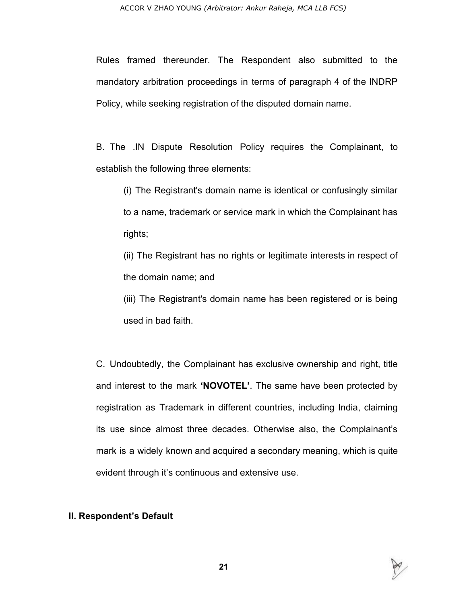Rules framed thereunder. The Respondent also submitted to the mandatory arbitration proceedings in terms of paragraph 4 of the INDRP Policy, while seeking registration of the disputed domain name.

B. The .IN Dispute Resolution Policy requires the Complainant, to establish the following three elements:

(i) The Registrant's domain name is identical or confusingly similar to a name, trademark or service mark in which the Complainant has rights;

(ii) The Registrant has no rights or legitimate interests in respect of the domain name; and

(iii) The Registrant's domain name has been registered or is being used in bad faith.

C. Undoubtedly, the Complainant has exclusive ownership and right, title and interest to the mark **'NOVOTEL'**. The same have been protected by registration as Trademark in different countries, including India, claiming its use since almost three decades. Otherwise also, the Complainant's mark is a widely known and acquired a secondary meaning, which is quite evident through it's continuous and extensive use.

#### **II. Respondent's Default**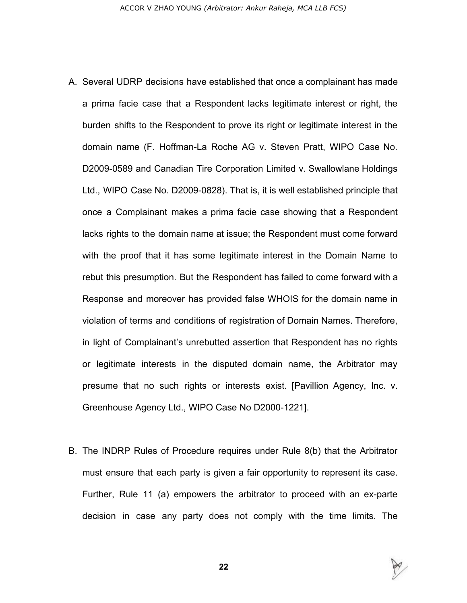- A. Several UDRP decisions have established that once a complainant has made a prima facie case that a Respondent lacks legitimate interest or right, the burden shifts to the Respondent to prove its right or legitimate interest in the domain name (F. Hoffman-La Roche AG v. Steven Pratt, WIPO Case No. D2009-0589 and Canadian Tire Corporation Limited v. Swallowlane Holdings Ltd., WIPO Case No. D2009-0828). That is, it is well established principle that once a Complainant makes a prima facie case showing that a Respondent lacks rights to the domain name at issue; the Respondent must come forward with the proof that it has some legitimate interest in the Domain Name to rebut this presumption. But the Respondent has failed to come forward with a Response and moreover has provided false WHOIS for the domain name in violation of terms and conditions of registration of Domain Names. Therefore, in light of Complainant's unrebutted assertion that Respondent has no rights or legitimate interests in the disputed domain name, the Arbitrator may presume that no such rights or interests exist. [Pavillion Agency, Inc. v. Greenhouse Agency Ltd., WIPO Case No D2000-1221].
- B. The INDRP Rules of Procedure requires under Rule 8(b) that the Arbitrator must ensure that each party is given a fair opportunity to represent its case. Further, Rule 11 (a) empowers the arbitrator to proceed with an ex-parte decision in case any party does not comply with the time limits. The

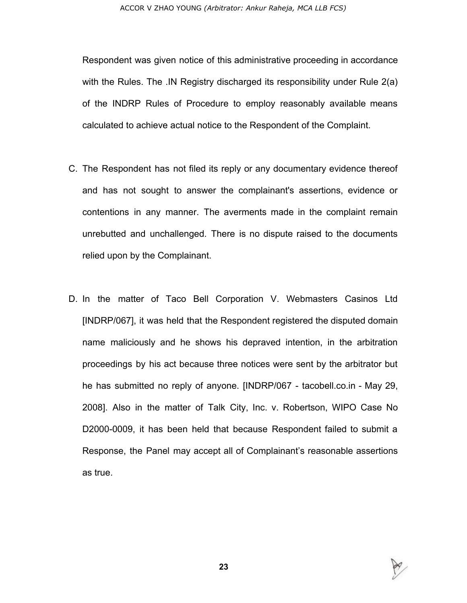Respondent was given notice of this administrative proceeding in accordance with the Rules. The .IN Registry discharged its responsibility under Rule 2(a) of the INDRP Rules of Procedure to employ reasonably available means calculated to achieve actual notice to the Respondent of the Complaint.

- C. The Respondent has not filed its reply or any documentary evidence thereof and has not sought to answer the complainant's assertions, evidence or contentions in any manner. The averments made in the complaint remain unrebutted and unchallenged. There is no dispute raised to the documents relied upon by the Complainant.
- D. In the matter of Taco Bell Corporation V. Webmasters Casinos Ltd [INDRP/067], it was held that the Respondent registered the disputed domain name maliciously and he shows his depraved intention, in the arbitration proceedings by his act because three notices were sent by the arbitrator but he has submitted no reply of anyone. [INDRP/067 - tacobell.co.in - May 29, 2008]. Also in the matter of Talk City, Inc. v. Robertson, WIPO Case No D2000-0009, it has been held that because Respondent failed to submit a Response, the Panel may accept all of Complainant's reasonable assertions as true.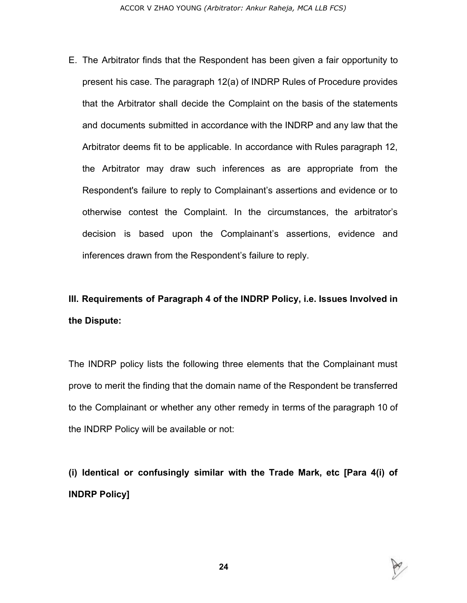E. The Arbitrator finds that the Respondent has been given a fair opportunity to present his case. The paragraph 12(a) of INDRP Rules of Procedure provides that the Arbitrator shall decide the Complaint on the basis of the statements and documents submitted in accordance with the INDRP and any law that the Arbitrator deems fit to be applicable. In accordance with Rules paragraph 12, the Arbitrator may draw such inferences as are appropriate from the Respondent's failure to reply to Complainant's assertions and evidence or to otherwise contest the Complaint. In the circumstances, the arbitrator's decision is based upon the Complainant's assertions, evidence and inferences drawn from the Respondent's failure to reply.

# **III. Requirements of Paragraph 4 of the INDRP Policy, i.e. Issues Involved in the Dispute:**

The INDRP policy lists the following three elements that the Complainant must prove to merit the finding that the domain name of the Respondent be transferred to the Complainant or whether any other remedy in terms of the paragraph 10 of the INDRP Policy will be available or not:

**(i) Identical or confusingly similar with the Trade Mark, etc [Para 4(i) of INDRP Policy]**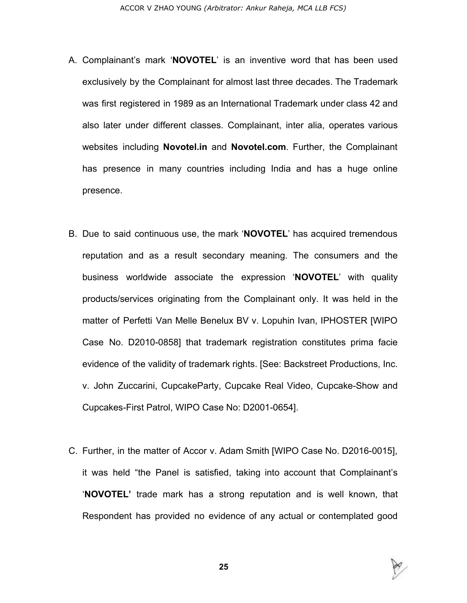- A. Complainant's mark '**NOVOTEL**' is an inventive word that has been used exclusively by the Complainant for almost last three decades. The Trademark was first registered in 1989 as an International Trademark under class 42 and also later under different classes. Complainant, inter alia, operates various websites including **Novotel.in** and **Novotel.com**. Further, the Complainant has presence in many countries including India and has a huge online presence.
- B. Due to said continuous use, the mark '**NOVOTEL**' has acquired tremendous reputation and as a result secondary meaning. The consumers and the business worldwide associate the expression '**NOVOTEL**' with quality products/services originating from the Complainant only. It was held in the matter of Perfetti Van Melle Benelux BV v. Lopuhin Ivan, IPHOSTER [WIPO Case No. D2010-0858] that trademark registration constitutes prima facie evidence of the validity of trademark rights. [See: Backstreet Productions, Inc. v. John Zuccarini, CupcakeParty, Cupcake Real Video, Cupcake-Show and Cupcakes-First Patrol, WIPO Case No: D2001-0654].
- C. Further, in the matter of Accor v. Adam Smith [WIPO Case No. D2016-0015], it was held "the Panel is satisfied, taking into account that Complainant's '**NOVOTEL'** trade mark has a strong reputation and is well known, that Respondent has provided no evidence of any actual or contemplated good

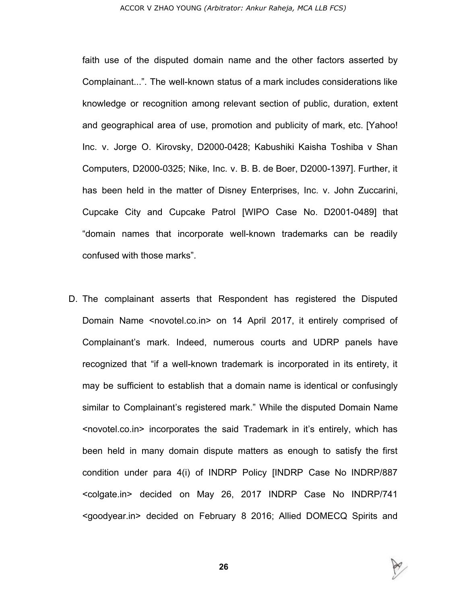#### ACCOR V ZHAO YOUNG *(Arbitrator: Ankur Raheja, MCA LLB FCS)*

faith use of the disputed domain name and the other factors asserted by Complainant...". The well-known status of a mark includes considerations like knowledge or recognition among relevant section of public, duration, extent and geographical area of use, promotion and publicity of mark, etc. [Yahoo! Inc. v. Jorge O. Kirovsky, D2000-0428; Kabushiki Kaisha Toshiba v Shan Computers, D2000-0325; Nike, Inc. v. B. B. de Boer, D2000-1397]. Further, it has been held in the matter of Disney Enterprises, Inc. v. John Zuccarini, Cupcake City and Cupcake Patrol [WIPO Case No. D2001-0489] that "domain names that incorporate well-known trademarks can be readily confused with those marks".

D. The complainant asserts that Respondent has registered the Disputed Domain Name <novotel.co.in> on 14 April 2017, it entirely comprised of Complainant's mark. Indeed, numerous courts and UDRP panels have recognized that "if a well-known trademark is incorporated in its entirety, it may be sufficient to establish that a domain name is identical or confusingly similar to Complainant's registered mark." While the disputed Domain Name <novotel.co.in> incorporates the said Trademark in it's entirely, which has been held in many domain dispute matters as enough to satisfy the first condition under para 4(i) of INDRP Policy [INDRP Case No INDRP/887 <colgate.in> decided on May 26, 2017 INDRP Case No INDRP/741 <goodyear.in> decided on February 8 2016; Allied DOMECQ Spirits and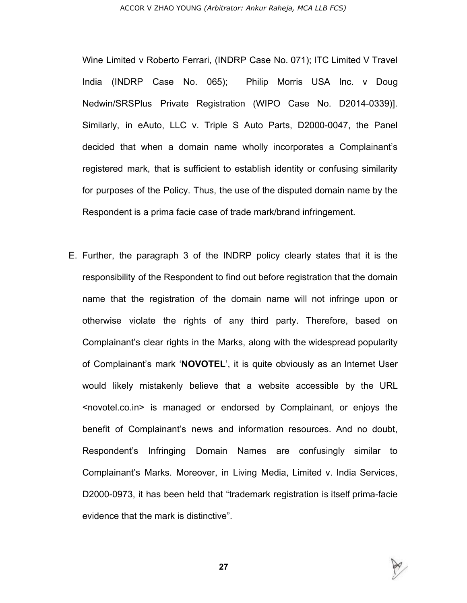#### ACCOR V ZHAO YOUNG *(Arbitrator: Ankur Raheja, MCA LLB FCS)*

Wine Limited v Roberto Ferrari, (INDRP Case No. 071); ITC Limited V Travel India (INDRP Case No. 065); Philip Morris USA Inc. v Doug Nedwin/SRSPlus Private Registration (WIPO Case No. D2014-0339)]. Similarly, in eAuto, LLC v. Triple S Auto Parts, D2000-0047, the Panel decided that when a domain name wholly incorporates a Complainant's registered mark, that is sufficient to establish identity or confusing similarity for purposes of the Policy. Thus, the use of the disputed domain name by the Respondent is a prima facie case of trade mark/brand infringement.

E. Further, the paragraph 3 of the INDRP policy clearly states that it is the responsibility of the Respondent to find out before registration that the domain name that the registration of the domain name will not infringe upon or otherwise violate the rights of any third party. Therefore, based on Complainant's clear rights in the Marks, along with the widespread popularity of Complainant's mark '**NOVOTEL**', it is quite obviously as an Internet User would likely mistakenly believe that a website accessible by the URL <novotel.co.in> is managed or endorsed by Complainant, or enjoys the benefit of Complainant's news and information resources. And no doubt, Respondent's Infringing Domain Names are confusingly similar to Complainant's Marks. Moreover, in Living Media, Limited v. India Services, D2000-0973, it has been held that "trademark registration is itself prima-facie evidence that the mark is distinctive".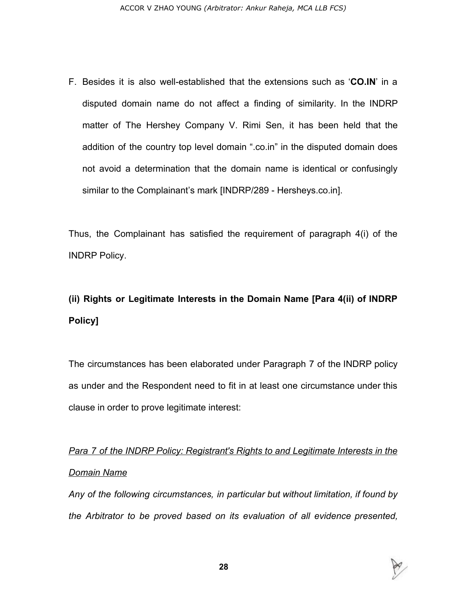F. Besides it is also well-established that the extensions such as '**CO.IN**' in a disputed domain name do not affect a finding of similarity. In the INDRP matter of The Hershey Company V. Rimi Sen, it has been held that the addition of the country top level domain ".co.in" in the disputed domain does not avoid a determination that the domain name is identical or confusingly similar to the Complainant's mark [INDRP/289 - Hersheys.co.in].

Thus, the Complainant has satisfied the requirement of paragraph 4(i) of the INDRP Policy.

# **(ii) Rights or Legitimate Interests in the Domain Name [Para 4(ii) of INDRP Policy]**

The circumstances has been elaborated under Paragraph 7 of the INDRP policy as under and the Respondent need to fit in at least one circumstance under this clause in order to prove legitimate interest:

*Para 7 of the INDRP Policy: Registrant's Rights to and Legitimate Interests in the Domain Name*

*Any of the following circumstances, in particular but without limitation, if found by the Arbitrator to be proved based on its evaluation of all evidence presented,*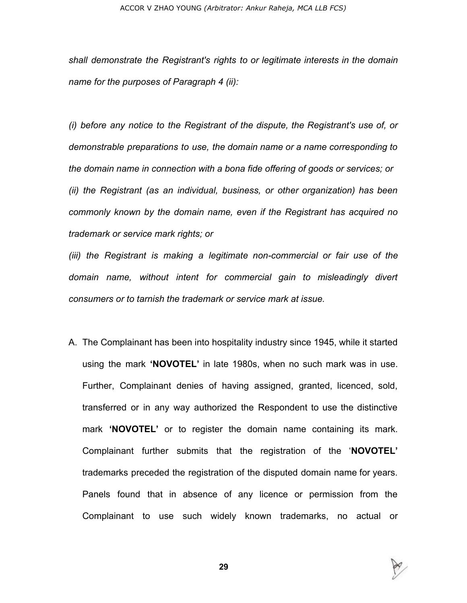*shall demonstrate the Registrant's rights to or legitimate interests in the domain name for the purposes of Paragraph 4 (ii):*

*(i) before any notice to the Registrant of the dispute, the Registrant's use of, or demonstrable preparations to use, the domain name or a name corresponding to the domain name in connection with a bona fide offering of goods or services; or (ii) the Registrant (as an individual, business, or other organization) has been commonly known by the domain name, even if the Registrant has acquired no trademark or service mark rights; or*

*(iii) the Registrant is making a legitimate non-commercial or fair use of the domain name, without intent for commercial gain to misleadingly divert consumers or to tarnish the trademark or service mark at issue.*

A. The Complainant has been into hospitality industry since 1945, while it started using the mark **'NOVOTEL'** in late 1980s, when no such mark was in use. Further, Complainant denies of having assigned, granted, licenced, sold, transferred or in any way authorized the Respondent to use the distinctive mark **'NOVOTEL'** or to register the domain name containing its mark. Complainant further submits that the registration of the '**NOVOTEL'** trademarks preceded the registration of the disputed domain name for years. Panels found that in absence of any licence or permission from the Complainant to use such widely known trademarks, no actual or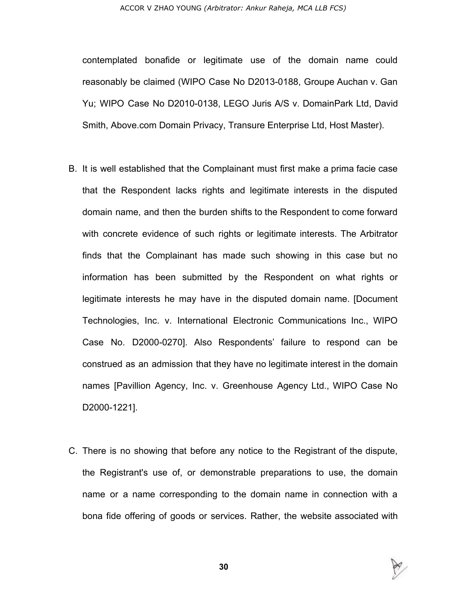contemplated bonafide or legitimate use of the domain name could reasonably be claimed (WIPO Case No D2013-0188, Groupe Auchan v. Gan Yu; WIPO Case No D2010-0138, LEGO Juris A/S v. DomainPark Ltd, David Smith, Above.com Domain Privacy, Transure Enterprise Ltd, Host Master).

- B. It is well established that the Complainant must first make a prima facie case that the Respondent lacks rights and legitimate interests in the disputed domain name, and then the burden shifts to the Respondent to come forward with concrete evidence of such rights or legitimate interests. The Arbitrator finds that the Complainant has made such showing in this case but no information has been submitted by the Respondent on what rights or legitimate interests he may have in the disputed domain name. [Document Technologies, Inc. v. International Electronic Communications Inc., WIPO Case No. D2000-0270]. Also Respondents' failure to respond can be construed as an admission that they have no legitimate interest in the domain names [Pavillion Agency, Inc. v. Greenhouse Agency Ltd., WIPO Case No D2000-1221].
- C. There is no showing that before any notice to the Registrant of the dispute, the Registrant's use of, or demonstrable preparations to use, the domain name or a name corresponding to the domain name in connection with a bona fide offering of goods or services. Rather, the website associated with

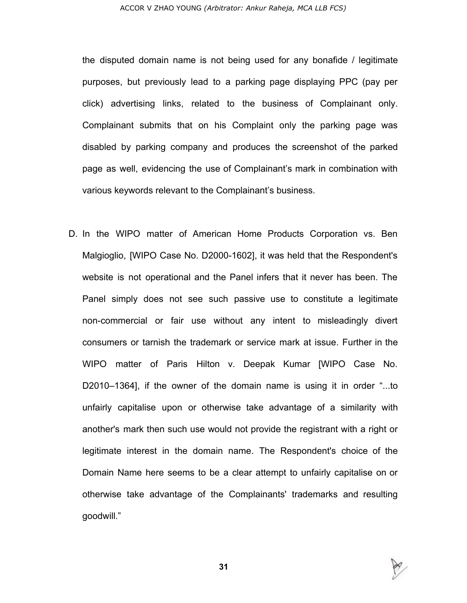the disputed domain name is not being used for any bonafide / legitimate purposes, but previously lead to a parking page displaying PPC (pay per click) advertising links, related to the business of Complainant only. Complainant submits that on his Complaint only the parking page was disabled by parking company and produces the screenshot of the parked page as well, evidencing the use of Complainant's mark in combination with various keywords relevant to the Complainant's business.

D. In the WIPO matter of American Home Products Corporation vs. Ben Malgioglio, [WIPO Case No. D2000-1602], it was held that the Respondent's website is not operational and the Panel infers that it never has been. The Panel simply does not see such passive use to constitute a legitimate non-commercial or fair use without any intent to misleadingly divert consumers or tarnish the trademark or service mark at issue. Further in the WIPO matter of Paris Hilton v. Deepak Kumar [WIPO Case No. D2010–1364], if the owner of the domain name is using it in order "...to unfairly capitalise upon or otherwise take advantage of a similarity with another's mark then such use would not provide the registrant with a right or legitimate interest in the domain name. The Respondent's choice of the Domain Name here seems to be a clear attempt to unfairly capitalise on or otherwise take advantage of the Complainants' trademarks and resulting goodwill."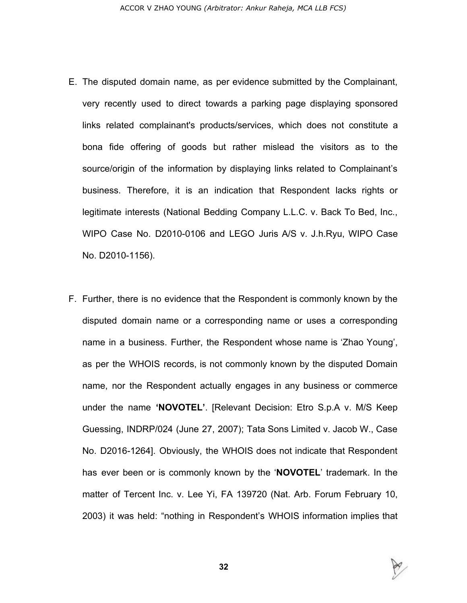- E. The disputed domain name, as per evidence submitted by the Complainant, very recently used to direct towards a parking page displaying sponsored links related complainant's products/services, which does not constitute a bona fide offering of goods but rather mislead the visitors as to the source/origin of the information by displaying links related to Complainant's business. Therefore, it is an indication that Respondent lacks rights or legitimate interests (National Bedding Company L.L.C. v. Back To Bed, Inc., WIPO Case No. D2010-0106 and LEGO Juris A/S v. J.h.Ryu, WIPO Case No. D2010-1156).
- F. Further, there is no evidence that the Respondent is commonly known by the disputed domain name or a corresponding name or uses a corresponding name in a business. Further, the Respondent whose name is 'Zhao Young', as per the WHOIS records, is not commonly known by the disputed Domain name, nor the Respondent actually engages in any business or commerce under the name **'NOVOTEL'**. [Relevant Decision: Etro S.p.A v. M/S Keep Guessing, INDRP/024 (June 27, 2007); Tata Sons Limited v. Jacob W., Case No. D2016-1264]. Obviously, the WHOIS does not indicate that Respondent has ever been or is commonly known by the '**NOVOTEL**' trademark. In the matter of Tercent Inc. v. Lee Yi, FA 139720 (Nat. Arb. Forum February 10, 2003) it was held: "nothing in Respondent's WHOIS information implies that

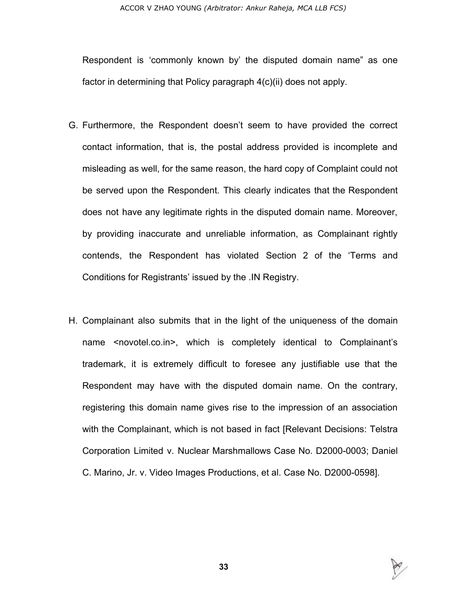Respondent is 'commonly known by' the disputed domain name" as one factor in determining that Policy paragraph 4(c)(ii) does not apply.

- G. Furthermore, the Respondent doesn't seem to have provided the correct contact information, that is, the postal address provided is incomplete and misleading as well, for the same reason, the hard copy of Complaint could not be served upon the Respondent. This clearly indicates that the Respondent does not have any legitimate rights in the disputed domain name. Moreover, by providing inaccurate and unreliable information, as Complainant rightly contends, the Respondent has violated Section 2 of the 'Terms and Conditions for Registrants' issued by the .IN Registry.
- H. Complainant also submits that in the light of the uniqueness of the domain name <novotel.co.in>, which is completely identical to Complainant's trademark, it is extremely difficult to foresee any justifiable use that the Respondent may have with the disputed domain name. On the contrary, registering this domain name gives rise to the impression of an association with the Complainant, which is not based in fact [Relevant Decisions: Telstra Corporation Limited v. Nuclear Marshmallows Case No. D2000-0003; Daniel C. Marino, Jr. v. Video Images Productions, et al. Case No. D2000-0598].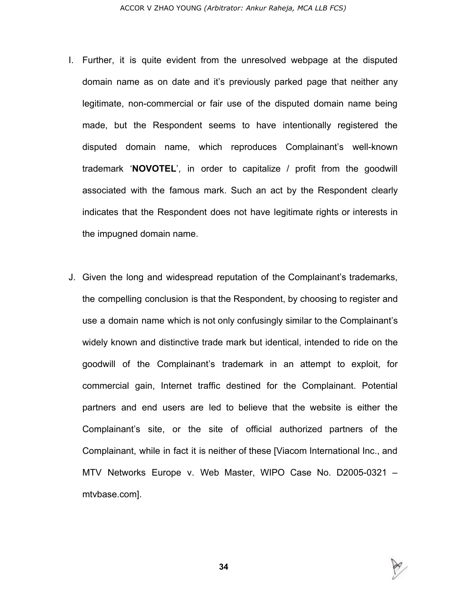- I. Further, it is quite evident from the unresolved webpage at the disputed domain name as on date and it's previously parked page that neither any legitimate, non-commercial or fair use of the disputed domain name being made, but the Respondent seems to have intentionally registered the disputed domain name, which reproduces Complainant's well-known trademark '**NOVOTEL**', in order to capitalize / profit from the goodwill associated with the famous mark. Such an act by the Respondent clearly indicates that the Respondent does not have legitimate rights or interests in the impugned domain name.
- J. Given the long and widespread reputation of the Complainant's trademarks, the compelling conclusion is that the Respondent, by choosing to register and use a domain name which is not only confusingly similar to the Complainant's widely known and distinctive trade mark but identical, intended to ride on the goodwill of the Complainant's trademark in an attempt to exploit, for commercial gain, Internet traffic destined for the Complainant. Potential partners and end users are led to believe that the website is either the Complainant's site, or the site of official authorized partners of the Complainant, while in fact it is neither of these [Viacom International Inc., and MTV Networks Europe v. Web Master, WIPO Case No. D2005-0321 – mtvbase.com].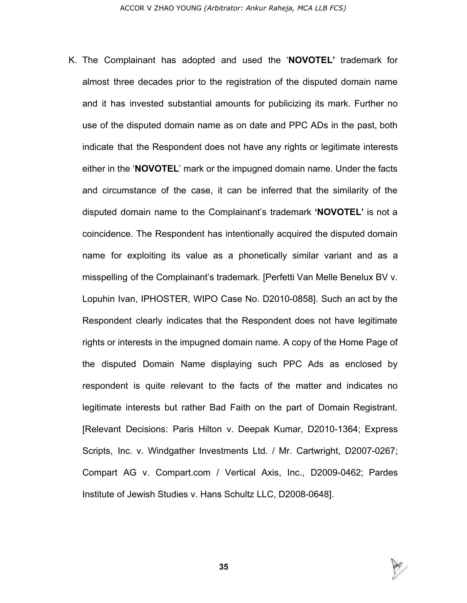K. The Complainant has adopted and used the '**NOVOTEL'** trademark for almost three decades prior to the registration of the disputed domain name and it has invested substantial amounts for publicizing its mark. Further no use of the disputed domain name as on date and PPC ADs in the past, both indicate that the Respondent does not have any rights or legitimate interests either in the '**NOVOTEL**' mark or the impugned domain name. Under the facts and circumstance of the case, it can be inferred that the similarity of the disputed domain name to the Complainant's trademark **'NOVOTEL'** is not a coincidence. The Respondent has intentionally acquired the disputed domain name for exploiting its value as a phonetically similar variant and as a misspelling of the Complainant's trademark. [Perfetti Van Melle Benelux BV v. Lopuhin Ivan, IPHOSTER, WIPO Case No. D2010-0858]. Such an act by the Respondent clearly indicates that the Respondent does not have legitimate rights or interests in the impugned domain name. A copy of the Home Page of the disputed Domain Name displaying such PPC Ads as enclosed by respondent is quite relevant to the facts of the matter and indicates no legitimate interests but rather Bad Faith on the part of Domain Registrant. [Relevant Decisions: Paris Hilton v. Deepak Kumar, D2010-1364; Express Scripts, Inc. v. Windgather Investments Ltd. / Mr. Cartwright, D2007-0267; Compart AG v. Compart.com / Vertical Axis, Inc., D2009-0462; Pardes Institute of Jewish Studies v. Hans Schultz LLC, D2008-0648].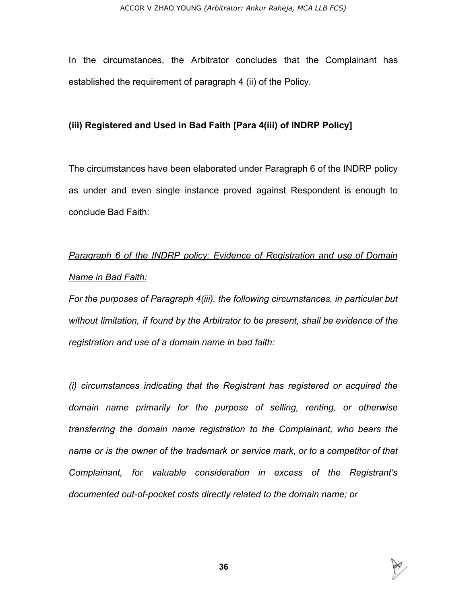In the circumstances, the Arbitrator concludes that the Complainant has established the requirement of paragraph 4 (ii) of the Policy.

### **(iii) Registered and Used in Bad Faith [Para 4(iii) of INDRP Policy]**

The circumstances have been elaborated under Paragraph 6 of the INDRP policy as under and even single instance proved against Respondent is enough to conclude Bad Faith:

# *Paragraph 6 of the INDRP policy: Evidence of Registration and use of Domain Name in Bad Faith:*

*For the purposes of Paragraph 4(iii), the following circumstances, in particular but without limitation, if found by the Arbitrator to be present, shall be evidence of the registration and use of a domain name in bad faith:*

*(i) circumstances indicating that the Registrant has registered or acquired the domain name primarily for the purpose of selling, renting, or otherwise transferring the domain name registration to the Complainant, who bears the name or is the owner of the trademark or service mark, or to a competitor of that Complainant, for valuable consideration in excess of the Registrant's documented out-of-pocket costs directly related to the domain name; or*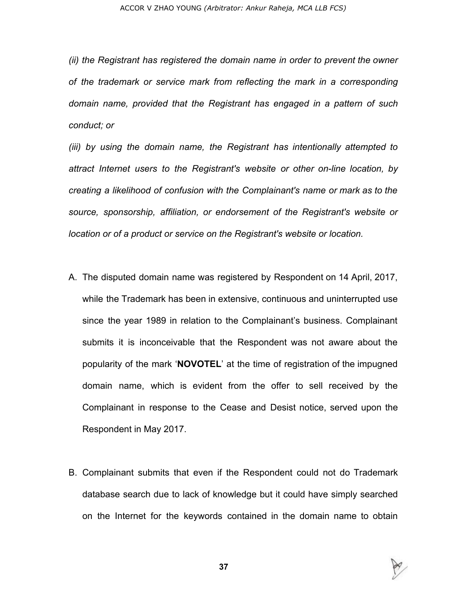*(ii) the Registrant has registered the domain name in order to prevent the owner of the trademark or service mark from reflecting the mark in a corresponding domain name, provided that the Registrant has engaged in a pattern of such conduct; or*

*(iii) by using the domain name, the Registrant has intentionally attempted to attract Internet users to the Registrant's website or other on-line location, by creating a likelihood of confusion with the Complainant's name or mark as to the source, sponsorship, affiliation, or endorsement of the Registrant's website or location or of a product or service on the Registrant's website or location.*

- A. The disputed domain name was registered by Respondent on 14 April, 2017, while the Trademark has been in extensive, continuous and uninterrupted use since the year 1989 in relation to the Complainant's business. Complainant submits it is inconceivable that the Respondent was not aware about the popularity of the mark '**NOVOTEL**' at the time of registration of the impugned domain name, which is evident from the offer to sell received by the Complainant in response to the Cease and Desist notice, served upon the Respondent in May 2017.
- B. Complainant submits that even if the Respondent could not do Trademark database search due to lack of knowledge but it could have simply searched on the Internet for the keywords contained in the domain name to obtain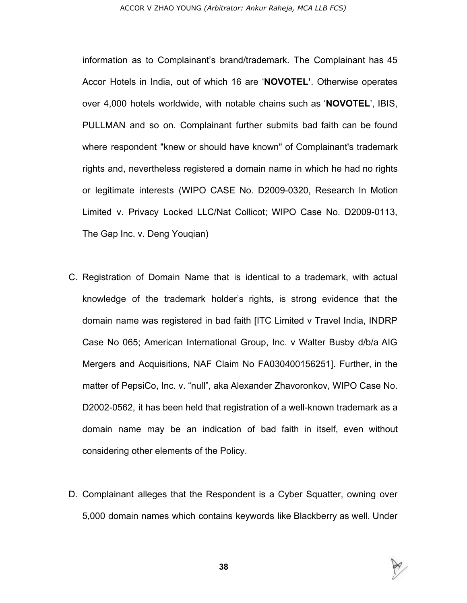#### ACCOR V ZHAO YOUNG *(Arbitrator: Ankur Raheja, MCA LLB FCS)*

information as to Complainant's brand/trademark. The Complainant has 45 Accor Hotels in India, out of which 16 are '**NOVOTEL'**. Otherwise operates over 4,000 hotels worldwide, with notable chains such as '**NOVOTEL**', IBIS, PULLMAN and so on. Complainant further submits bad faith can be found where respondent "knew or should have known" of Complainant's trademark rights and, nevertheless registered a domain name in which he had no rights or legitimate interests (WIPO CASE No. D2009-0320, Research In Motion Limited v. Privacy Locked LLC/Nat Collicot; WIPO Case No. D2009-0113, The Gap Inc. v. Deng Youqian)

- C. Registration of Domain Name that is identical to a trademark, with actual knowledge of the trademark holder's rights, is strong evidence that the domain name was registered in bad faith [ITC Limited v Travel India, INDRP Case No 065; American International Group, Inc. v Walter Busby d/b/a AIG Mergers and Acquisitions, NAF Claim No FA030400156251]. Further, in the matter of PepsiCo, Inc. v. "null", aka Alexander Zhavoronkov, WIPO Case No. D2002-0562, it has been held that registration of a well-known trademark as a domain name may be an indication of bad faith in itself, even without considering other elements of the Policy.
- D. Complainant alleges that the Respondent is a Cyber Squatter, owning over 5,000 domain names which contains keywords like Blackberry as well. Under

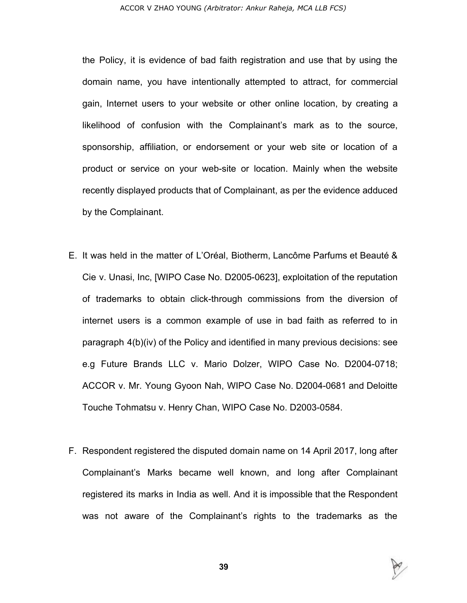the Policy, it is evidence of bad faith registration and use that by using the domain name, you have intentionally attempted to attract, for commercial gain, Internet users to your website or other online location, by creating a likelihood of confusion with the Complainant's mark as to the source, sponsorship, affiliation, or endorsement or your web site or location of a product or service on your web-site or location. Mainly when the website recently displayed products that of Complainant, as per the evidence adduced by the Complainant.

- E. It was held in the matter of L'Oréal, Biotherm, Lancôme Parfums et Beauté & Cie v. Unasi, Inc, [WIPO Case No. D2005-0623], exploitation of the reputation of trademarks to obtain click-through commissions from the diversion of internet users is a common example of use in bad faith as referred to in paragraph 4(b)(iv) of the Policy and identified in many previous decisions: see e.g Future Brands LLC v. Mario Dolzer, WIPO Case No. D2004-0718; ACCOR v. Mr. Young Gyoon Nah, WIPO Case No. D2004-0681 and Deloitte Touche Tohmatsu v. Henry Chan, WIPO Case No. D2003-0584.
- F. Respondent registered the disputed domain name on 14 April 2017, long after Complainant's Marks became well known, and long after Complainant registered its marks in India as well. And it is impossible that the Respondent was not aware of the Complainant's rights to the trademarks as the

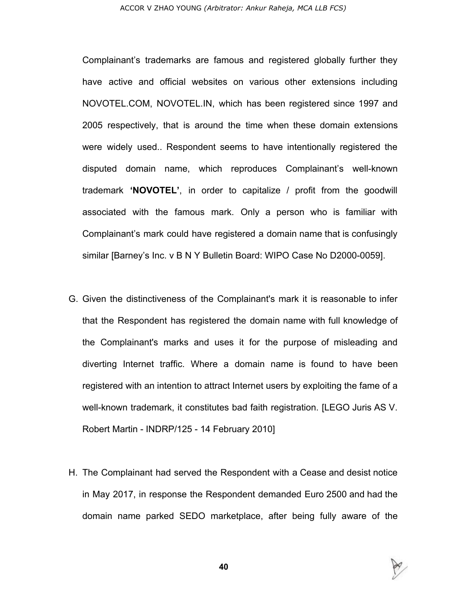Complainant's trademarks are famous and registered globally further they have active and official websites on various other extensions including NOVOTEL.COM, NOVOTEL.IN, which has been registered since 1997 and 2005 respectively, that is around the time when these domain extensions were widely used.. Respondent seems to have intentionally registered the disputed domain name, which reproduces Complainant's well-known trademark **'NOVOTEL'**, in order to capitalize / profit from the goodwill associated with the famous mark. Only a person who is familiar with Complainant's mark could have registered a domain name that is confusingly similar [Barney's Inc. v B N Y Bulletin Board: WIPO Case No D2000-0059].

- G. Given the distinctiveness of the Complainant's mark it is reasonable to infer that the Respondent has registered the domain name with full knowledge of the Complainant's marks and uses it for the purpose of misleading and diverting Internet traffic. Where a domain name is found to have been registered with an intention to attract Internet users by exploiting the fame of a well-known trademark, it constitutes bad faith registration. [LEGO Juris AS V. Robert Martin - INDRP/125 - 14 February 2010]
- H. The Complainant had served the Respondent with a Cease and desist notice in May 2017, in response the Respondent demanded Euro 2500 and had the domain name parked SEDO marketplace, after being fully aware of the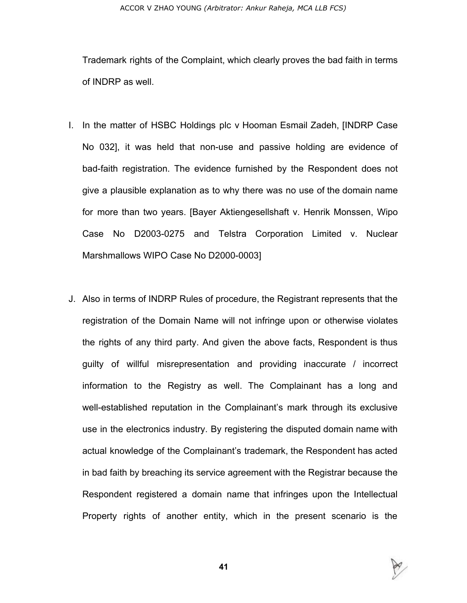#### ACCOR V ZHAO YOUNG *(Arbitrator: Ankur Raheja, MCA LLB FCS)*

Trademark rights of the Complaint, which clearly proves the bad faith in terms of INDRP as well.

- I. In the matter of HSBC Holdings plc v Hooman Esmail Zadeh, [INDRP Case No 032], it was held that non-use and passive holding are evidence of bad-faith registration. The evidence furnished by the Respondent does not give a plausible explanation as to why there was no use of the domain name for more than two years. [Bayer Aktiengesellshaft v. Henrik Monssen, Wipo Case No D2003-0275 and Telstra Corporation Limited v. Nuclear Marshmallows WIPO Case No D2000-0003]
- J. Also in terms of INDRP Rules of procedure, the Registrant represents that the registration of the Domain Name will not infringe upon or otherwise violates the rights of any third party. And given the above facts, Respondent is thus guilty of willful misrepresentation and providing inaccurate / incorrect information to the Registry as well. The Complainant has a long and well-established reputation in the Complainant's mark through its exclusive use in the electronics industry. By registering the disputed domain name with actual knowledge of the Complainant's trademark, the Respondent has acted in bad faith by breaching its service agreement with the Registrar because the Respondent registered a domain name that infringes upon the Intellectual Property rights of another entity, which in the present scenario is the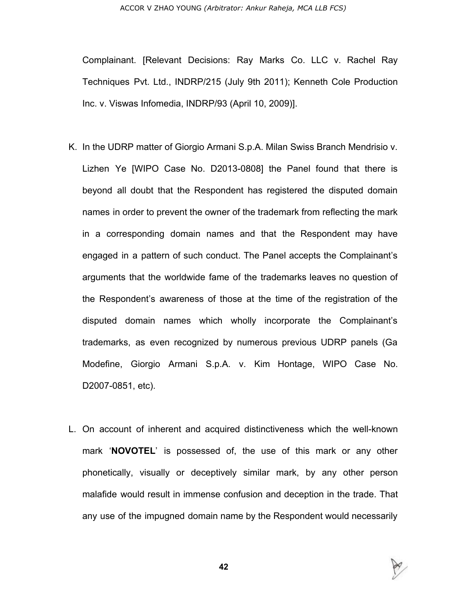Complainant. [Relevant Decisions: Ray Marks Co. LLC v. Rachel Ray Techniques Pvt. Ltd., INDRP/215 (July 9th 2011); Kenneth Cole Production Inc. v. Viswas Infomedia, INDRP/93 (April 10, 2009)].

- K. In the UDRP matter of Giorgio Armani S.p.A. Milan Swiss Branch Mendrisio v. Lizhen Ye [WIPO Case No. D2013-0808] the Panel found that there is beyond all doubt that the Respondent has registered the disputed domain names in order to prevent the owner of the trademark from reflecting the mark in a corresponding domain names and that the Respondent may have engaged in a pattern of such conduct. The Panel accepts the Complainant's arguments that the worldwide fame of the trademarks leaves no question of the Respondent's awareness of those at the time of the registration of the disputed domain names which wholly incorporate the Complainant's trademarks, as even recognized by numerous previous UDRP panels (Ga Modefine, Giorgio Armani S.p.A. v. Kim Hontage, WIPO Case No. D2007-0851, etc).
- L. On account of inherent and acquired distinctiveness which the well-known mark '**NOVOTEL**' is possessed of, the use of this mark or any other phonetically, visually or deceptively similar mark, by any other person malafide would result in immense confusion and deception in the trade. That any use of the impugned domain name by the Respondent would necessarily

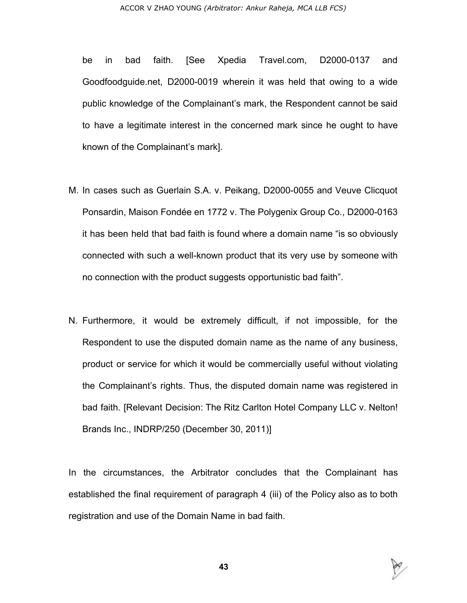be in bad faith. [See Xpedia Travel.com, D2000-0137 and Goodfoodguide.net, D2000-0019 wherein it was held that owing to a wide public knowledge of the Complainant's mark, the Respondent cannot be said to have a legitimate interest in the concerned mark since he ought to have known of the Complainant's mark].

- M. In cases such as Guerlain S.A. v. Peikang, D2000-0055 and Veuve Clicquot Ponsardin, Maison Fondée en 1772 v. The Polygenix Group Co., D2000-0163 it has been held that bad faith is found where a domain name "is so obviously connected with such a well-known product that its very use by someone with no connection with the product suggests opportunistic bad faith".
- N. Furthermore, it would be extremely difficult, if not impossible, for the Respondent to use the disputed domain name as the name of any business, product or service for which it would be commercially useful without violating the Complainant's rights. Thus, the disputed domain name was registered in bad faith. [Relevant Decision: The Ritz Carlton Hotel Company LLC v. Nelton! Brands Inc., INDRP/250 (December 30, 2011)]

In the circumstances, the Arbitrator concludes that the Complainant has established the final requirement of paragraph 4 (iii) of the Policy also as to both registration and use of the Domain Name in bad faith.